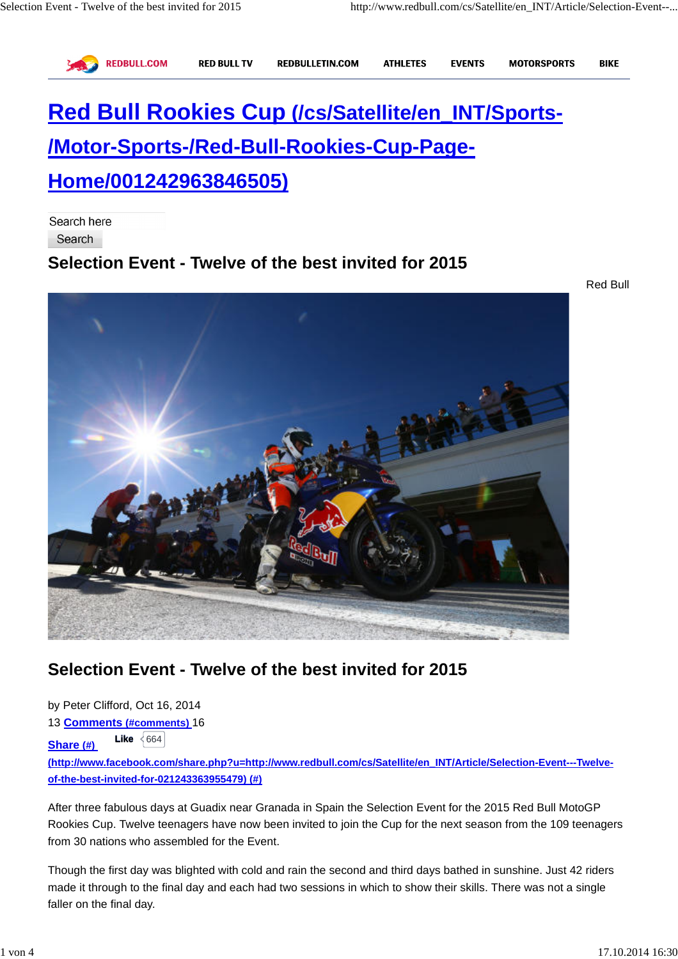

**RED BULL TV** 

**ATHLETES EVENTS** 

**MOTORSPORTS BIKE** 

# **Red Bull Rookies Cup (/cs/Satellite/en\_INT/Sports- /Motor-Sports-/Red-Bull-Rookies-Cup-Page-Home/001242963846505)**

Search here Search

# **Selection Event - Twelve of the best invited for 2015**



**Selection Event - Twelve of the best invited for 2015**

by Peter Clifford, Oct 16, 2014

13 **Comments (#comments)** 16

**Share** (#) **Like**  $\leftarrow$  664

**(http://www.facebook.com/share.php?u=http://www.redbull.com/cs/Satellite/en\_INT/Article/Selection-Event---Twelveof-the-best-invited-for-021243363955479) (#)**

After three fabulous days at Guadix near Granada in Spain the Selection Event for the 2015 Red Bull MotoGP Rookies Cup. Twelve teenagers have now been invited to join the Cup for the next season from the 109 teenagers from 30 nations who assembled for the Event.

Though the first day was blighted with cold and rain the second and third days bathed in sunshine. Just 42 riders made it through to the final day and each had two sessions in which to show their skills. There was not a single faller on the final day.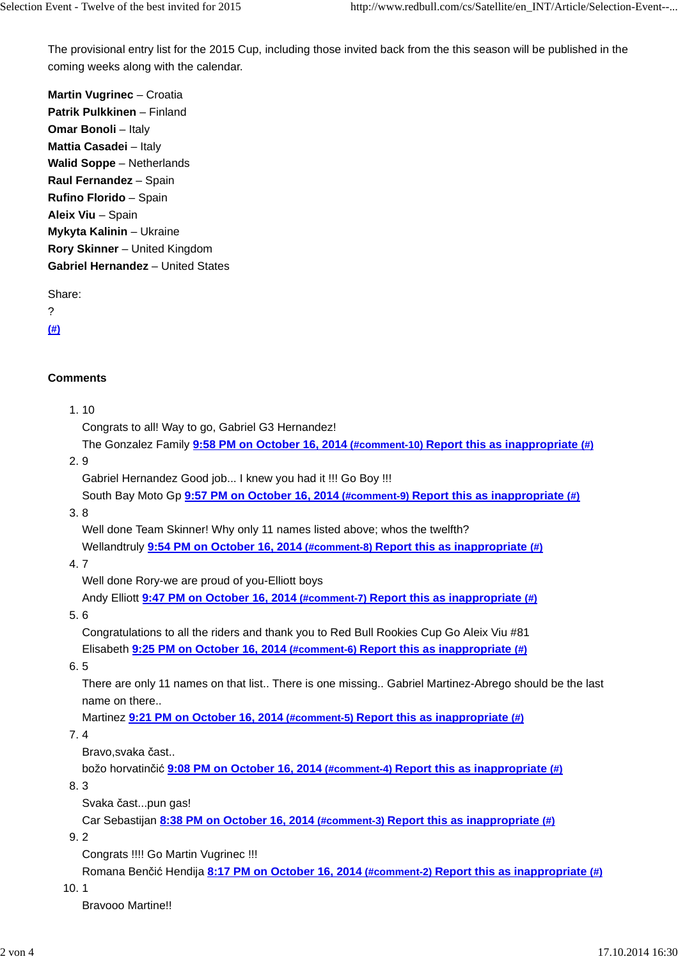The provisional entry list for the 2015 Cup, including those invited back from the this season will be published in the coming weeks along with the calendar.

**Martin Vugrinec** – Croatia **Patrik Pulkkinen** – Finland **Omar Bonoli** – Italy **Mattia Casadei** – Italy **Walid Soppe** – Netherlands **Raul Fernandez** – Spain **Rufino Florido** – Spain **Aleix Viu** – Spain **Mykyta Kalinin** – Ukraine **Rory Skinner** – United Kingdom **Gabriel Hernandez** – United States

```
Share:
```

```
?
```

```
(#)
```
# **Comments**

#### 1.10

Congrats to all! Way to go, Gabriel G3 Hernandez!

The Gonzalez Family **9:58 PM on October 16, 2014 (#comment-10) Report this as inappropriate (#)**

#### 9 2.

Gabriel Hernandez Good job... I knew you had it !!! Go Boy !!!

South Bay Moto Gp **9:57 PM on October 16, 2014 (#comment-9) Report this as inappropriate (#)**

8 3.

Well done Team Skinner! Why only 11 names listed above; whos the twelfth?

Wellandtruly **9:54 PM on October 16, 2014 (#comment-8) Report this as inappropriate (#)**

7 4.

Well done Rory-we are proud of you-Elliott boys

Andy Elliott **9:47 PM on October 16, 2014 (#comment-7) Report this as inappropriate (#)**

#### 6 5.

Congratulations to all the riders and thank you to Red Bull Rookies Cup Go Aleix Viu #81 Elisabeth **9:25 PM on October 16, 2014 (#comment-6) Report this as inappropriate (#)**

#### 5 6.

There are only 11 names on that list.. There is one missing.. Gabriel Martinez-Abrego should be the last name on there..

Martinez **9:21 PM on October 16, 2014 (#comment-5) Report this as inappropriate (#)**

4 7.

Bravo,svaka čast..

božo horvatinčić **9:08 PM on October 16, 2014 (#comment-4) Report this as inappropriate (#)**

3 8.

Svaka čast...pun gas!

Car Sebastijan **8:38 PM on October 16, 2014 (#comment-3) Report this as inappropriate (#)**

2 9.

Congrats !!!! Go Martin Vugrinec !!!

Romana Benčić Hendija **8:17 PM on October 16, 2014 (#comment-2) Report this as inappropriate (#)**

1 10.

Bravooo Martine!!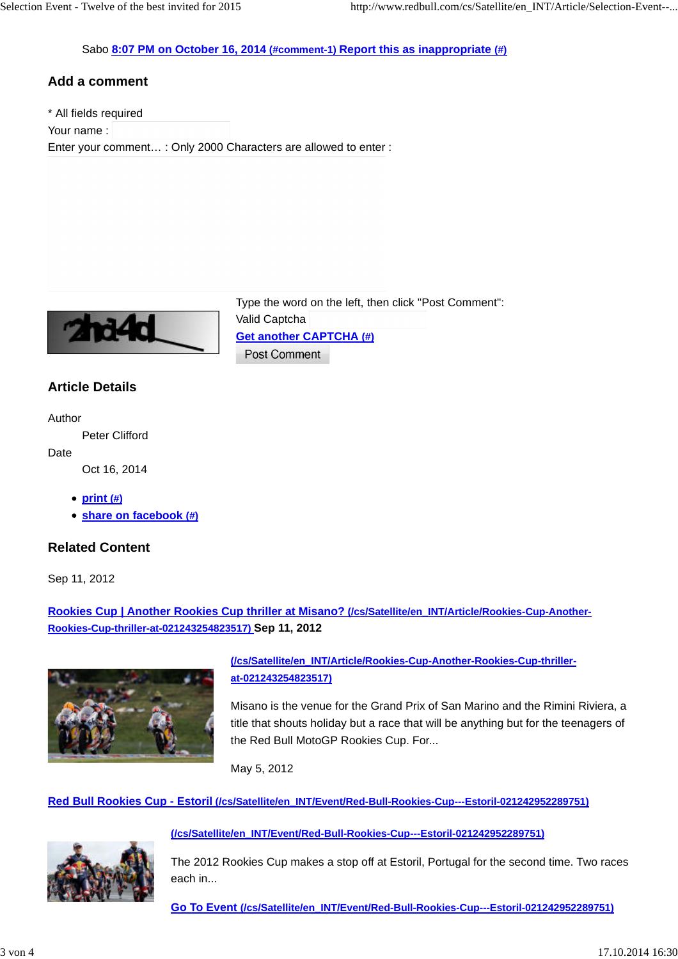#### Sabo **8:07 PM on October 16, 2014 (#comment-1) Report this as inappropriate (#)**

# **Add a comment**

\* All fields required

Your name :

Enter your comment… : Only 2000 Characters are allowed to enter :



Type the word on the left, then click "Post Comment": Valid Captcha **Get another CAPTCHA (#)** Post Comment

# **Article Details**

Author

Peter Clifford

#### Date

Oct 16, 2014

- **print (#)**
- **share on facebook (#)**

# **Related Content**

Sep 11, 2012

**Rookies Cup | Another Rookies Cup thriller at Misano? (/cs/Satellite/en\_INT/Article/Rookies-Cup-Another-Rookies-Cup-thriller-at-021243254823517) Sep 11, 2012**



**(/cs/Satellite/en\_INT/Article/Rookies-Cup-Another-Rookies-Cup-thrillerat-021243254823517)**

Misano is the venue for the Grand Prix of San Marino and the Rimini Riviera, a title that shouts holiday but a race that will be anything but for the teenagers of the Red Bull MotoGP Rookies Cup. For...

May 5, 2012

**Red Bull Rookies Cup - Estoril (/cs/Satellite/en\_INT/Event/Red-Bull-Rookies-Cup---Estoril-021242952289751)**



**(/cs/Satellite/en\_INT/Event/Red-Bull-Rookies-Cup---Estoril-021242952289751)**

The 2012 Rookies Cup makes a stop off at Estoril, Portugal for the second time. Two races each in...

**Go To Event (/cs/Satellite/en\_INT/Event/Red-Bull-Rookies-Cup---Estoril-021242952289751)**